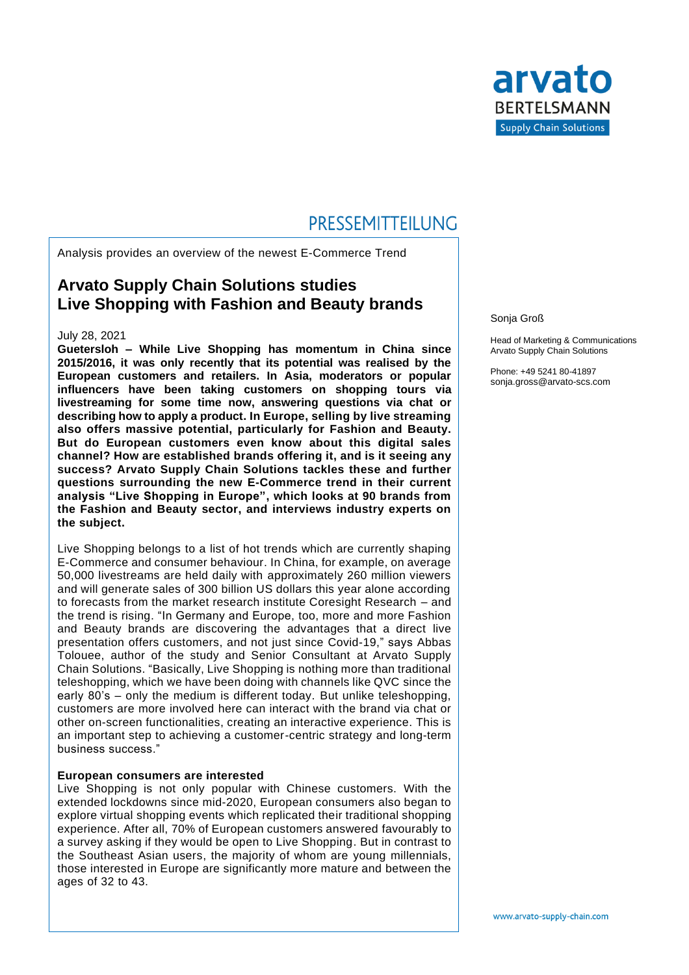

# PRESSEMITTEILUNG

Analysis provides an overview of the newest E-Commerce Trend

### **Arvato Supply Chain Solutions studies Live Shopping with Fashion and Beauty brands**

#### July 28, 2021

**Guetersloh – While Live Shopping has momentum in China since 2015/2016, it was only recently that its potential was realised by the European customers and retailers. In Asia, moderators or popular influencers have been taking customers on shopping tours via livestreaming for some time now, answering questions via chat or describing how to apply a product. In Europe, selling by live streaming also offers massive potential, particularly for Fashion and Beauty. But do European customers even know about this digital sales channel? How are established brands offering it, and is it seeing any success? Arvato Supply Chain Solutions tackles these and further questions surrounding the new E-Commerce trend in their current analysis "Live Shopping in Europe", which looks at 90 brands from the Fashion and Beauty sector, and interviews industry experts on the subject.**

Live Shopping belongs to a list of hot trends which are currently shaping E-Commerce and consumer behaviour. In China, for example, on average 50,000 livestreams are held daily with approximately 260 million viewers and will generate sales of 300 billion US dollars this year alone according to forecasts from the market research institute Coresight Research – and the trend is rising. "In Germany and Europe, too, more and more Fashion and Beauty brands are discovering the advantages that a direct live presentation offers customers, and not just since Covid-19," says Abbas Tolouee, author of the study and Senior Consultant at Arvato Supply Chain Solutions. "Basically, Live Shopping is nothing more than traditional teleshopping, which we have been doing with channels like QVC since the early 80's – only the medium is different today. But unlike teleshopping, customers are more involved here can interact with the brand via chat or other on-screen functionalities, creating an interactive experience. This is an important step to achieving a customer-centric strategy and long-term business success."

#### **European consumers are interested**

Live Shopping is not only popular with Chinese customers. With the extended lockdowns since mid-2020, European consumers also began to explore virtual shopping events which replicated their traditional shopping experience. After all, 70% of European customers answered favourably to a survey asking if they would be open to Live Shopping. But in contrast to the Southeast Asian users, the majority of whom are young millennials, those interested in Europe are significantly more mature and between the ages of 32 to 43.

Sonja Groß

Head of Marketing & Communications Arvato Supply Chain Solutions

Phone: +49 5241 80-41897 sonja.gross@arvato-scs.com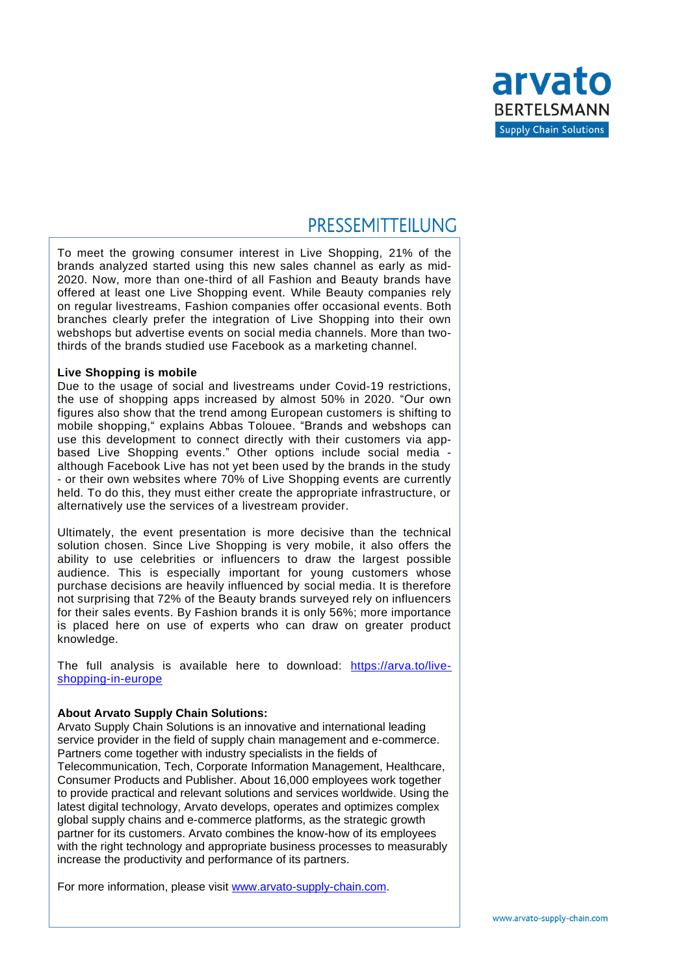

## PRESSEMITTEILUNG

To meet the growing consumer interest in Live Shopping, 21% of the brands analyzed started using this new sales channel as early as mid-2020. Now, more than one-third of all Fashion and Beauty brands have offered at least one Live Shopping event. While Beauty companies rely on regular livestreams, Fashion companies offer occasional events. Both branches clearly prefer the integration of Live Shopping into their own webshops but advertise events on social media channels. More than twothirds of the brands studied use Facebook as a marketing channel.

#### **Live Shopping is mobile**

Due to the usage of social and livestreams under Covid-19 restrictions, the use of shopping apps increased by almost 50% in 2020. "Our own figures also show that the trend among European customers is shifting to mobile shopping," explains Abbas Tolouee. "Brands and webshops can use this development to connect directly with their customers via appbased Live Shopping events." Other options include social media although Facebook Live has not yet been used by the brands in the study - or their own websites where 70% of Live Shopping events are currently held. To do this, they must either create the appropriate infrastructure, or alternatively use the services of a livestream provider.

Ultimately, the event presentation is more decisive than the technical solution chosen. Since Live Shopping is very mobile, it also offers the ability to use celebrities or influencers to draw the largest possible audience. This is especially important for young customers whose purchase decisions are heavily influenced by social media. It is therefore not surprising that 72% of the Beauty brands surveyed rely on influencers for their sales events. By Fashion brands it is only 56%; more importance is placed here on use of experts who can draw on greater product knowledge.

The full analysis is available here to download: [https://arva.to/live](https://arva.to/live-shopping-in-europe)[shopping-in-europe](https://arva.to/live-shopping-in-europe)

### **About Arvato Supply Chain Solutions:**

Arvato Supply Chain Solutions is an innovative and international leading service provider in the field of supply chain management and e-commerce. Partners come together with industry specialists in the fields of Telecommunication, Tech, Corporate Information Management, Healthcare, Consumer Products and Publisher. About 16,000 employees work together to provide practical and relevant solutions and services worldwide. Using the latest digital technology, Arvato develops, operates and optimizes complex global supply chains and e-commerce platforms, as the strategic growth partner for its customers. Arvato combines the know-how of its employees with the right technology and appropriate business processes to measurably increase the productivity and performance of its partners.

For more information, please visit [www.arvato-supply-chain.com.](http://www.arvato-supply-chain.com/)